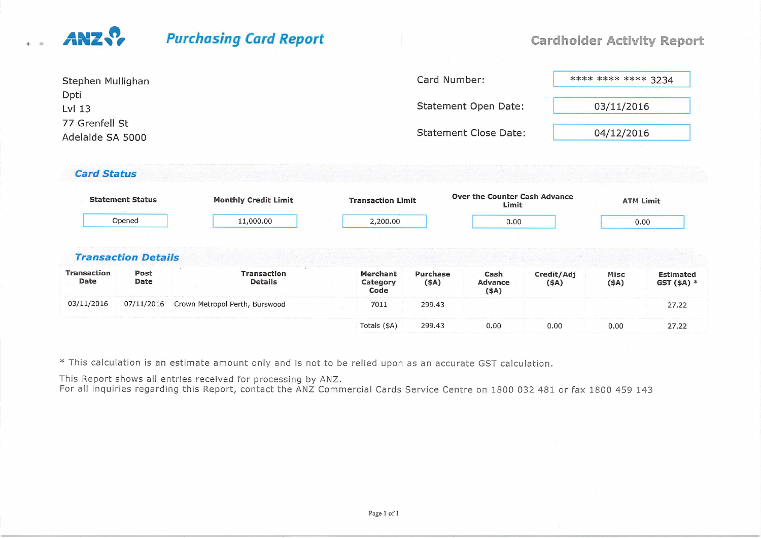## $\sqrt{2}$

## Purchasing Card Report

#### **Cardholder Activity Report**

| Stephen Mullighan                  | Card Number:                 | **** **** **** 3234 |
|------------------------------------|------------------------------|---------------------|
| Dpti<br>$Lvl$ 13                   | Statement Open Date:         | 03/11/2016          |
| 77 Grenfell St<br>Adelaide SA 5000 | <b>Statement Close Date:</b> | 04/12/2016          |
|                                    |                              |                     |

#### Card Status

|                            | <b>Statement Status</b>    | <b>Monthly Credit Limit</b>          | <b>Transaction Limit</b>     |                  | Over the Counter Cash Advance<br>Limit |                        |                  | <b>ATM Limit</b>                |
|----------------------------|----------------------------|--------------------------------------|------------------------------|------------------|----------------------------------------|------------------------|------------------|---------------------------------|
|                            | Opened                     | 11,000.00                            | 2,200.00                     |                  | 0.00                                   |                        |                  | 0.00                            |
|                            |                            |                                      |                              |                  |                                        |                        |                  |                                 |
|                            | <b>Transaction Details</b> |                                      |                              |                  |                                        |                        |                  |                                 |
| <b>Transaction</b><br>Date | Post<br>Date               | <b>Transaction</b><br><b>Details</b> | Merchant<br>Category<br>Code | Purchase<br>(SA) | Cash<br>Advance<br>$($ \$A)            | Credit/Adj<br>$($ \$A) | Misc<br>$($ \$A) | <b>Estimated</b><br>$GST(5A)$ * |
| 03/11/2016                 | 07/11/2016                 | Crown Metropol Perth, Burswood       | 7011                         | 299.43           |                                        |                        |                  | 27.22                           |
|                            |                            |                                      | Totals (\$A)                 | 299.43           | 0.00                                   | 0.00                   | 0.00             | 27.22                           |

\* This calculation is an estimate amount only and is not to be relied upon as an accurate GST calculation.

This Report shows all entries received for processing by ANZ. For all inquiries regarding this Report, contact the ANZ Commercial Cards Service Centre on 1800 032 481 or fax 1800 459 143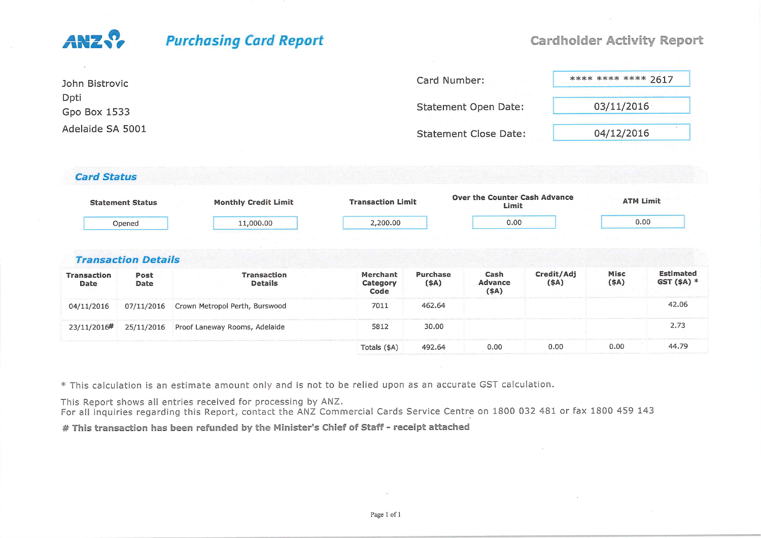# ANZ S

### **Purchasing Card Report**

#### **Cardholder Activity Report**

| John Bistrovic       | Card Number:                 | **** **** **** 2617 |
|----------------------|------------------------------|---------------------|
| Dpti<br>Gpo Box 1533 | <b>Statement Open Date:</b>  | 03/11/2016          |
| Adelaide SA 5001     | <b>Statement Close Date:</b> | 04/12/2016          |

#### Card Status

|                    | <b>Statement Status</b>    | <b>Monthly Credit Limit</b>    | <b>Transaction Limit</b> |          | Over the Counter Cash Advance<br>Limit |            |      | <b>ATM Limit</b> |
|--------------------|----------------------------|--------------------------------|--------------------------|----------|----------------------------------------|------------|------|------------------|
|                    | Opened                     | 11,000.00                      | 2,200.00                 |          | 0.00                                   |            |      | 0.00             |
|                    | <b>Transaction Details</b> |                                |                          |          |                                        |            |      |                  |
| <b>Transaction</b> | Post                       | <b>Transaction</b>             | Merchant                 | Purchase | Cash                                   | Credit/Adj | Misc | <b>Estimated</b> |
| Date               | Date                       | <b>Details</b>                 | Category<br>Code         | (SA)     | Advance<br>$($ \$A)                    | $($ \$A)   | (4A) | $GST(SA)$ *      |
| 04/11/2016         | 07/11/2016                 | Crown Metropol Perth, Burswood | 7011                     | 462.64   |                                        |            |      | 42.06            |
| 23/11/2016#        | 25/11/2016                 | Proof Laneway Rooms, Adelaide  | 5812                     | 30.00    |                                        |            |      | 2.73             |
|                    |                            |                                | Totals (\$A)             | 492.64   | 0.00                                   | 0.00       | 0.00 | 44.79            |

\* This calculation is an estimate amount only and is not to be relied upon as an accurate GST calculation.

This Report shows all entries received for processing by ANZ.

For all inquiries regarding this Report, contact the ANZ Commercial Cards Service Centre on 1800 032 481 or fax 1800 459 143

# This transaction has been refunded by the Minister's Chief of Staff - receipt attached